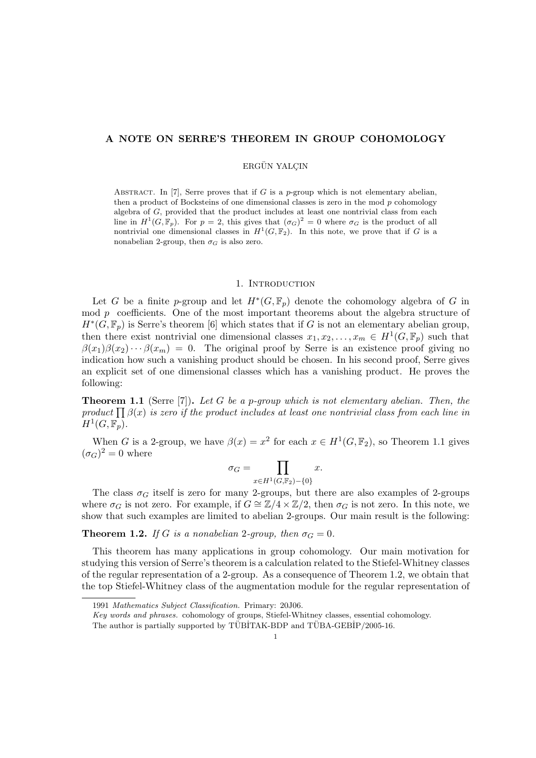## A NOTE ON SERRE'S THEOREM IN GROUP COHOMOLOGY

# ERGÜN YALÇIN

ABSTRACT. In [7], Serre proves that if G is a p-group which is not elementary abelian, then a product of Bocksteins of one dimensional classes is zero in the mod  $p$  cohomology algebra of G, provided that the product includes at least one nontrivial class from each line in  $H^1(G,\mathbb{F}_p)$ . For  $p=2$ , this gives that  $(\sigma_G)^2=0$  where  $\sigma_G$  is the product of all nontrivial one dimensional classes in  $H^1(G, \mathbb{F}_2)$ . In this note, we prove that if G is a nonabelian 2-group, then  $\sigma_G$  is also zero.

## 1. INTRODUCTION

Let G be a finite p-group and let  $H^*(G, \mathbb{F}_p)$  denote the cohomology algebra of G in mod  $p$  coefficients. One of the most important theorems about the algebra structure of  $H^*(G, \mathbb{F}_p)$  is Serre's theorem [6] which states that if G is not an elementary abelian group, then there exist nontrivial one dimensional classes  $x_1, x_2, \ldots, x_m \in H^1(G, \mathbb{F}_p)$  such that  $\beta(x_1)\beta(x_2)\cdots\beta(x_m) = 0$ . The original proof by Serre is an existence proof giving no indication how such a vanishing product should be chosen. In his second proof, Serre gives an explicit set of one dimensional classes which has a vanishing product. He proves the following:

**Theorem 1.1** (Serre [7]). Let G be a p-group which is not elementary abelian. Then, the **Theorem 1.1** (Serre [*i*]). Let G be a p-group which is not elementary abelian. Then, the product  $\prod \beta(x)$  is zero if the product includes at least one nontrivial class from each line in  $H^1(G,\mathbb{F}_p).$ 

When G is a 2-group, we have  $\beta(x) = x^2$  for each  $x \in H^1(G, \mathbb{F}_2)$ , so Theorem 1.1 gives  $({\sigma}_G)^2=0$  where  $\overline{y}$ 

$$
\sigma_G = \prod_{x \in H^1(G, \mathbb{F}_2) - \{0\}} x.
$$

The class  $\sigma_G$  itself is zero for many 2-groups, but there are also examples of 2-groups where  $\sigma_G$  is not zero. For example, if  $G \cong \mathbb{Z}/4 \times \mathbb{Z}/2$ , then  $\sigma_G$  is not zero. In this note, we show that such examples are limited to abelian 2-groups. Our main result is the following:

**Theorem 1.2.** If G is a nonabelian 2-group, then  $\sigma_G = 0$ .

This theorem has many applications in group cohomology. Our main motivation for studying this version of Serre's theorem is a calculation related to the Stiefel-Whitney classes of the regular representation of a 2-group. As a consequence of Theorem 1.2, we obtain that the top Stiefel-Whitney class of the augmentation module for the regular representation of

<sup>1991</sup> Mathematics Subject Classification. Primary: 20J06.

Key words and phrases. cohomology of groups, Stiefel-Whitney classes, essential cohomology.

The author is partially supported by  $TÜBITAK-BDP$  and  $TÜBA-GEBIP/2005-16$ .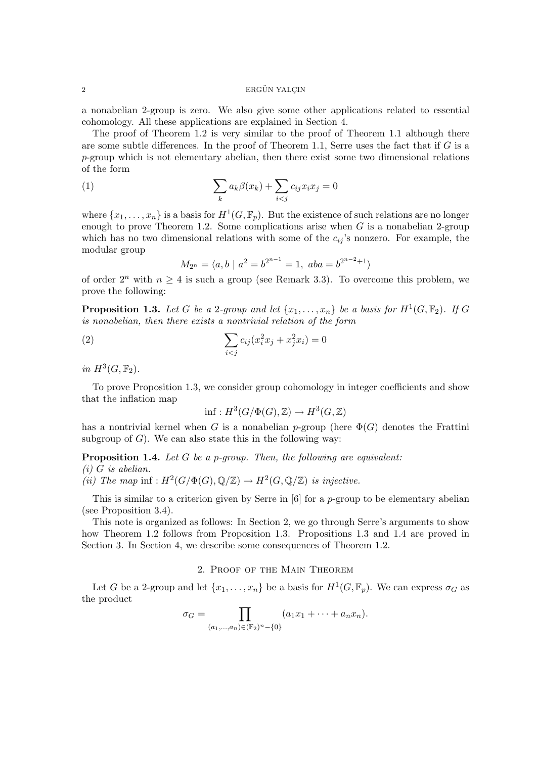## 2 ERGÜN YALCIN

a nonabelian 2-group is zero. We also give some other applications related to essential cohomology. All these applications are explained in Section 4.

The proof of Theorem 1.2 is very similar to the proof of Theorem 1.1 although there are some subtle differences. In the proof of Theorem 1.1, Serre uses the fact that if  $G$  is a  $p$ -group which is not elementary abelian, then there exist some two dimensional relations of the form

(1) 
$$
\sum_{k} a_k \beta(x_k) + \sum_{i < j} c_{ij} x_i x_j = 0
$$

where  $\{x_1, \ldots, x_n\}$  is a basis for  $H^1(G, \mathbb{F}_p)$ . But the existence of such relations are no longer enough to prove Theorem 1.2. Some complications arise when  $G$  is a nonabelian 2-group which has no two dimensional relations with some of the  $c_{ij}$ 's nonzero. For example, the modular group

$$
M_{2^n} = \langle a, b \mid a^2 = b^{2^{n-1}} = 1, aba = b^{2^{n-2}+1} \rangle
$$

of order  $2^n$  with  $n \geq 4$  is such a group (see Remark 3.3). To overcome this problem, we prove the following:

**Proposition 1.3.** Let G be a 2-group and let  $\{x_1, \ldots, x_n\}$  be a basis for  $H^1(G, \mathbb{F}_2)$ . If G is nonabelian, then there exists a nontrivial relation of the form

(2) 
$$
\sum_{i < j} c_{ij} (x_i^2 x_j + x_j^2 x_i) = 0
$$

in  $H^3(G, \mathbb{F}_2)$ .

To prove Proposition 1.3, we consider group cohomology in integer coefficients and show that the inflation map

$$
\inf: H^3(G/\Phi(G), \mathbb{Z}) \to H^3(G, \mathbb{Z})
$$

has a nontrivial kernel when G is a nonabelian p-group (here  $\Phi(G)$  denotes the Frattini subgroup of  $G$ ). We can also state this in the following way:

**Proposition 1.4.** Let G be a p-group. Then, the following are equivalent:

#### $(i)$  G is abelian.

(ii) The map inf :  $H^2(G/\Phi(G), \mathbb{Q}/\mathbb{Z}) \to H^2(G, \mathbb{Q}/\mathbb{Z})$  is injective.

This is similar to a criterion given by Serre in [6] for a p-group to be elementary abelian (see Proposition 3.4).

This note is organized as follows: In Section 2, we go through Serre's arguments to show how Theorem 1.2 follows from Proposition 1.3. Propositions 1.3 and 1.4 are proved in Section 3. In Section 4, we describe some consequences of Theorem 1.2.

# 2. Proof of the Main Theorem

Let G be a 2-group and let  $\{x_1, \ldots, x_n\}$  be a basis for  $H^1(G, \mathbb{F}_p)$ . We can express  $\sigma_G$  as the product  $\overline{y}$ 

$$
\sigma_G = \prod_{(a_1,...,a_n) \in (\mathbb{F}_2)^n - \{0\}} (a_1x_1 + \cdots + a_nx_n).
$$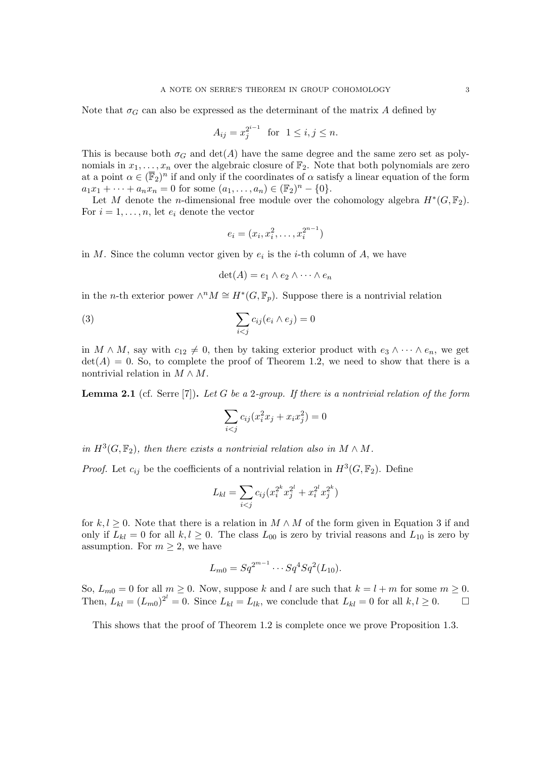Note that  $\sigma_G$  can also be expressed as the determinant of the matrix A defined by

$$
A_{ij} = x_j^{2^{i-1}}
$$
 for  $1 \le i, j \le n$ .

This is because both  $\sigma_G$  and  $\det(A)$  have the same degree and the same zero set as polynomials in  $x_1, \ldots, x_n$  over the algebraic closure of  $\mathbb{F}_2$ . Note that both polynomials are zero at a point  $\alpha \in (\overline{\mathbb{F}}_2)^n$  if and only if the coordinates of  $\alpha$  satisfy a linear equation of the form  $a_1x_1 + \cdots + a_nx_n = 0$  for some  $(a_1, \ldots, a_n) \in (\mathbb{F}_2)^n - \{0\}.$ 

Let M denote the n-dimensional free module over the cohomology algebra  $H^*(G, \mathbb{F}_2)$ . For  $i = 1, \ldots, n$ , let  $e_i$  denote the vector

$$
e_i = (x_i, x_i^2, \dots, x_i^{2^{n-1}})
$$

in M. Since the column vector given by  $e_i$  is the *i*-th column of A, we have

$$
\det(A) = e_1 \wedge e_2 \wedge \cdots \wedge e_n
$$

in the *n*-th exterior power  $\wedge^n M \cong H^*(G, \mathbb{F}_p)$ . Suppose there is a nontrivial relation

(3) 
$$
\sum_{i < j} c_{ij} (e_i \wedge e_j) = 0
$$

in  $M \wedge M$ , say with  $c_{12} \neq 0$ , then by taking exterior product with  $e_3 \wedge \cdots \wedge e_n$ , we get  $\det(A) = 0$ . So, to complete the proof of Theorem 1.2, we need to show that there is a nontrivial relation in  $M \wedge M$ .

**Lemma 2.1** (cf. Serre [7]). Let G be a 2-group. If there is a nontrivial relation of the form

$$
\sum_{i < j} c_{ij} (x_i^2 x_j + x_i x_j^2) = 0
$$

in  $H^3(G, \mathbb{F}_2)$ , then there exists a nontrivial relation also in  $M \wedge M$ .

*Proof.* Let  $c_{ij}$  be the coefficients of a nontrivial relation in  $H^3(G, \mathbb{F}_2)$ . Define

$$
L_{kl} = \sum_{i < j} c_{ij} (x_i^{2^k} x_j^{2^l} + x_i^{2^l} x_j^{2^k})
$$

for  $k, l \geq 0$ . Note that there is a relation in  $M \wedge M$  of the form given in Equation 3 if and only if  $L_{kl} = 0$  for all  $k, l \geq 0$ . The class  $L_{00}$  is zero by trivial reasons and  $L_{10}$  is zero by assumption. For  $m \geq 2$ , we have

$$
L_{m0} = Sq^{2^{m-1}} \cdots Sq^4 Sq^2(L_{10}).
$$

So,  $L_{m0} = 0$  for all  $m \ge 0$ . Now, suppose k and l are such that  $k = l + m$  for some  $m \ge 0$ . Then,  $L_{kl} = (L_{m0})^{2^l} = 0$ . Since  $L_{kl} = L_{lk}$ , we conclude that  $L_{kl} = 0$  for all  $k, l \ge 0$ .

This shows that the proof of Theorem 1.2 is complete once we prove Proposition 1.3.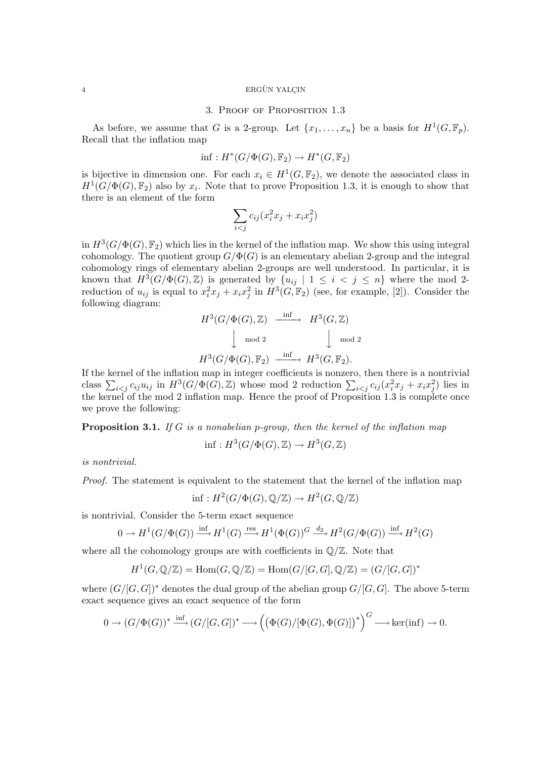#### 4 ERGÜN YALCIN

#### 3. Proof of Proposition 1.3

As before, we assume that G is a 2-group. Let  $\{x_1, \ldots, x_n\}$  be a basis for  $H^1(G, \mathbb{F}_p)$ . Recall that the inflation map

$$
\inf: H^*(G/\Phi(G), \mathbb{F}_2) \to H^*(G, \mathbb{F}_2)
$$

is bijective in dimension one. For each  $x_i \in H^1(G, \mathbb{F}_2)$ , we denote the associated class in  $H^1(G/\Phi(G), \mathbb{F}_2)$  also by  $x_i$ . Note that to prove Proposition 1.3, it is enough to show that there is an element of the form

$$
\sum_{i < j} c_{ij} (x_i^2 x_j + x_i x_j^2)
$$

in  $H^3(G/\Phi(G), \mathbb{F}_2)$  which lies in the kernel of the inflation map. We show this using integral cohomology. The quotient group  $G/\Phi(G)$  is an elementary abelian 2-group and the integral cohomology rings of elementary abelian 2-groups are well understood. In particular, it is known that  $H^3(G/\Phi(G), \mathbb{Z})$  is generated by  $\{u_{ij} \mid 1 \leq i \leq j \leq n\}$  where the mod 2reduction of  $u_{ij}$  is equal to  $x_i^2 x_j + x_i x_j^2$  in  $H^3(G, \mathbb{F}_2)$  (see, for example, [2]). Consider the following diagram:

$$
H^3(G/\Phi(G), \mathbb{Z}) \xrightarrow{\text{inf}} H^3(G, \mathbb{Z})
$$
  

$$
\downarrow \mod 2 \qquad \qquad \downarrow \mod 2
$$
  

$$
H^3(G/\Phi(G), \mathbb{F}_2) \xrightarrow{\text{inf}} H^3(G, \mathbb{F}_2).
$$

If the kernel of the inflation map in integer coefficients is nonzero, then there is a nontrivial If the kerner of the imitation map in integer coefficients is nonzero, then there is a nontrivial<br>class  $\sum_{i < j} c_{ij} u_{ij}$  in  $H^3(G/\Phi(G), \mathbb{Z})$  whose mod 2 reduction  $\sum_{i < j} c_{ij} (x_i^2 x_j + x_i x_j^2)$  lies in the kernel of the mod 2 inflation map. Hence the proof of Proposition 1.3 is complete once we prove the following:

**Proposition 3.1.** If G is a nonabelian p-group, then the kernel of the inflation map

$$
\inf: H^3(G/\Phi(G),\mathbb{Z})\to H^3(G,\mathbb{Z})
$$

is nontrivial.

Proof. The statement is equivalent to the statement that the kernel of the inflation map

$$
\inf: H^2(G/\Phi(G), \mathbb{Q}/\mathbb{Z}) \to H^2(G, \mathbb{Q}/\mathbb{Z})
$$

is nontrivial. Consider the 5-term exact sequence

$$
0 \to H^1(G/\Phi(G)) \xrightarrow{\text{inf}} H^1(G) \xrightarrow{\text{res}} H^1(\Phi(G))^G \xrightarrow{d_2} H^2(G/\Phi(G)) \xrightarrow{\text{inf}} H^2(G)
$$

where all the cohomology groups are with coefficients in  $\mathbb{Q}/\mathbb{Z}$ . Note that

$$
H^1(G,\mathbb{Q}/\mathbb{Z})=\mathrm{Hom}(G,\mathbb{Q}/\mathbb{Z})=\mathrm{Hom}(G/[G,G],\mathbb{Q}/\mathbb{Z})=(G/[G,G])^*
$$

where  $(G/[G, G])^*$  denotes the dual group of the abelian group  $G/[G, G]$ . The above 5-term exact sequence gives an exact sequence of the form

$$
0 \to (G/\Phi(G))^* \xrightarrow{\text{inf}} (G/[G,G])^* \longrightarrow ((\Phi(G)/[\Phi(G),\Phi(G)])^*)^G \longrightarrow \text{ker}(\text{inf}) \to 0.
$$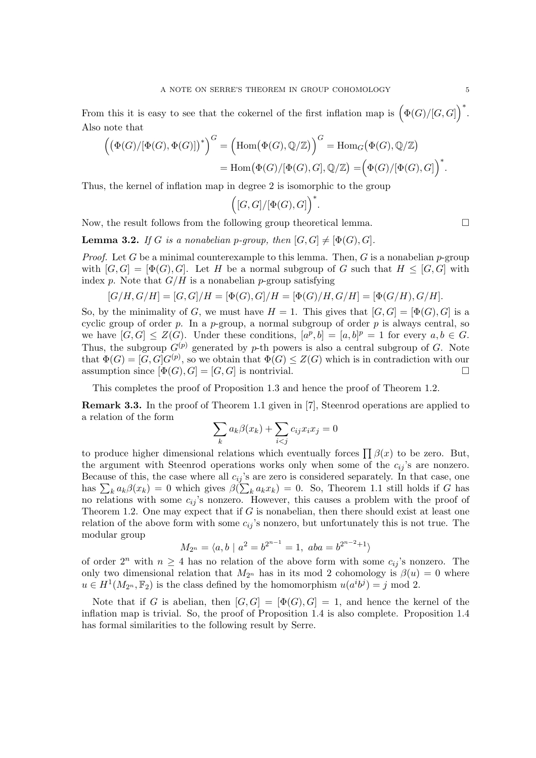From this it is easy to see that the cokernel of the first inflation map is  $\left( \Phi(G) / [G, G] \right)$ ´∗ . Also note that

$$
\left(\left(\Phi(G)/[\Phi(G),\Phi(G)]\right)^{*}\right)^{G} = \left(\text{Hom}(\Phi(G),\mathbb{Q}/\mathbb{Z})\right)^{G} = \text{Hom}_{G}(\Phi(G),\mathbb{Q}/\mathbb{Z})
$$

$$
= \text{Hom}(\Phi(G)/[\Phi(G),G],\mathbb{Q}/\mathbb{Z}) = \left(\Phi(G)/[\Phi(G),G]\right)^{*}.
$$

Thus, the kernel of inflation map in degree 2 is isomorphic to the group

$$
\Bigl([G,G]/[\Phi(G),G]\Bigr)^*.
$$

Now, the result follows from the following group theoretical lemma.  $\Box$ 

**Lemma 3.2.** If G is a nonabelian p-group, then  $[G, G] \neq [\Phi(G), G]$ .

*Proof.* Let G be a minimal counterexample to this lemma. Then, G is a nonabelian  $p$ -group with  $[G, G] = [\Phi(G), G]$ . Let H be a normal subgroup of G such that  $H \leq [G, G]$  with index p. Note that  $G/H$  is a nonabelian p-group satisfying

$$
[G/H, G/H] = [G, G]/H = [\Phi(G), G]/H = [\Phi(G)/H, G/H] = [\Phi(G/H), G/H].
$$

So, by the minimality of G, we must have  $H = 1$ . This gives that  $[G, G] = [\Phi(G), G]$  is a cyclic group of order  $p$ . In a  $p$ -group, a normal subgroup of order  $p$  is always central, so we have  $[G,G] \leq Z(G)$ . Under these conditions,  $[a^p, b] = [a, b]^p = 1$  for every  $a, b \in G$ . Thus, the subgroup  $G^{(p)}$  generated by p-th powers is also a central subgroup of G. Note that  $\Phi(G) = [G, G]G^{(p)}$ , so we obtain that  $\Phi(G) \leq Z(G)$  which is in contradiction with our assumption since  $[\Phi(G), G] = [G, G]$  is nontrivial.

This completes the proof of Proposition 1.3 and hence the proof of Theorem 1.2.

Remark 3.3. In the proof of Theorem 1.1 given in [7], Steenrod operations are applied to a relation of the form  $\overline{\phantom{a}}$ 

$$
\sum_{k} a_k \beta(x_k) + \sum_{i < j} c_{ij} x_i x_j = 0
$$

to produce higher dimensional relations which eventually forces  $\prod \beta(x)$  to be zero. But, the argument with Steenrod operations works only when some of the  $c_{ij}$ 's are nonzero. Because of this, the case where all  $c_{ij}$ 's are zero is considered separately. In that case, one because of this, the case where all  $c_{ij}$  s are zero is considered separately. In that case, one has  $\sum_k a_k \beta(x_k) = 0$  which gives  $\beta(\sum_k a_k x_k) = 0$ . So, Theorem 1.1 still holds if G has no relations with some  $c_{ij}$ 's nonzero. However, this causes a problem with the proof of Theorem 1.2. One may expect that if  $G$  is nonabelian, then there should exist at least one relation of the above form with some  $c_{ij}$ 's nonzero, but unfortunately this is not true. The modular group

$$
M_{2^n} = \langle a, b \mid a^2 = b^{2^{n-1}} = 1, \ aba = b^{2^{n-2}+1} \rangle
$$

of order  $2^n$  with  $n \geq 4$  has no relation of the above form with some  $c_{ij}$ 's nonzero. The only two dimensional relation that  $M_{2^n}$  has in its mod 2 cohomology is  $\beta(u) = 0$  where  $u \in H^1(M_{2^n}, \mathbb{F}_2)$  is the class defined by the homomorphism  $u(a^i b^j) = j \mod 2$ .

Note that if G is abelian, then  $[G,G] = [\Phi(G), G] = 1$ , and hence the kernel of the inflation map is trivial. So, the proof of Proposition 1.4 is also complete. Proposition 1.4 has formal similarities to the following result by Serre.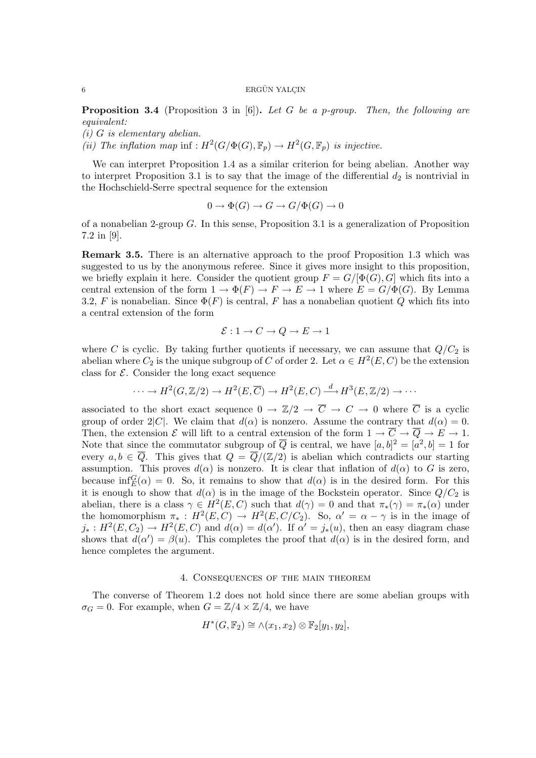**Proposition 3.4** (Proposition 3 in [6]). Let G be a p-group. Then, the following are equivalent:

(i) G is elementary abelian.

(ii) The inflation map inf :  $H^2(G/\Phi(G), \mathbb{F}_p) \to H^2(G, \mathbb{F}_p)$  is injective.

We can interpret Proposition 1.4 as a similar criterion for being abelian. Another way to interpret Proposition 3.1 is to say that the image of the differential  $d_2$  is nontrivial in the Hochschield-Serre spectral sequence for the extension

$$
0 \to \Phi(G) \to G \to G/\Phi(G) \to 0
$$

of a nonabelian 2-group  $G$ . In this sense, Proposition 3.1 is a generalization of Proposition 7.2 in [9].

Remark 3.5. There is an alternative approach to the proof Proposition 1.3 which was suggested to us by the anonymous referee. Since it gives more insight to this proposition, we briefly explain it here. Consider the quotient group  $F = G/[\Phi(G), G]$  which fits into a central extension of the form  $1 \to \Phi(F) \to F \to E \to 1$  where  $E = G/\Phi(G)$ . By Lemma 3.2, F is nonabelian. Since  $\Phi(F)$  is central, F has a nonabelian quotient Q which fits into a central extension of the form

$$
\mathcal{E}: 1 \to C \to Q \to E \to 1
$$

where C is cyclic. By taking further quotients if necessary, we can assume that  $Q/C_2$  is abelian where  $C_2$  is the unique subgroup of C of order 2. Let  $\alpha \in H^2(E, C)$  be the extension class for  $\mathcal{E}$ . Consider the long exact sequence

$$
\cdots \to H^2(G,\mathbb{Z}/2) \to H^2(E,\overline{C}) \to H^2(E,C) \xrightarrow{d} H^3(E,\mathbb{Z}/2) \to \cdots
$$

associated to the short exact sequence  $0 \to \mathbb{Z}/2 \to \overline{C} \to C \to 0$  where  $\overline{C}$  is a cyclic group of order 2|C|. We claim that  $d(\alpha)$  is nonzero. Assume the contrary that  $d(\alpha) = 0$ . Then, the extension E will lift to a central extension of the form  $1 \to \overline{C} \to \overline{Q} \to E \to 1$ . Note that since the commutator subgroup of  $\overline{Q}$  is central, we have  $[a, b]^2 = [a^2, b] = 1$  for every  $a, b \in \overline{Q}$ . This gives that  $Q = \overline{Q}/(\mathbb{Z}/2)$  is abelian which contradicts our starting assumption. This proves  $d(\alpha)$  is nonzero. It is clear that inflation of  $d(\alpha)$  to G is zero, because inf $_G^G(\alpha) = 0$ . So, it remains to show that  $d(\alpha)$  is in the desired form. For this it is enough to show that  $d(\alpha)$  is in the image of the Bockstein operator. Since  $Q/C_2$  is abelian, there is a class  $\gamma \in H^2(E, C)$  such that  $d(\gamma) = 0$  and that  $\pi_*(\gamma) = \pi_*(\alpha)$  under the homomorphism  $\pi_* : H^2(E, C) \to H^2(E, C/C_2)$ . So,  $\alpha' = \alpha - \gamma$  is in the image of  $j_*: H^2(E, C_2) \to H^2(E, C)$  and  $d(\alpha) = d(\alpha')$ . If  $\alpha' = j_*(u)$ , then an easy diagram chase shows that  $d(\alpha') = \beta(u)$ . This completes the proof that  $d(\alpha)$  is in the desired form, and hence completes the argument.

#### 4. Consequences of the main theorem

The converse of Theorem 1.2 does not hold since there are some abelian groups with  $\sigma_G = 0$ . For example, when  $G = \mathbb{Z}/4 \times \mathbb{Z}/4$ , we have

$$
H^*(G, \mathbb{F}_2) \cong \wedge (x_1, x_2) \otimes \mathbb{F}_2[y_1, y_2],
$$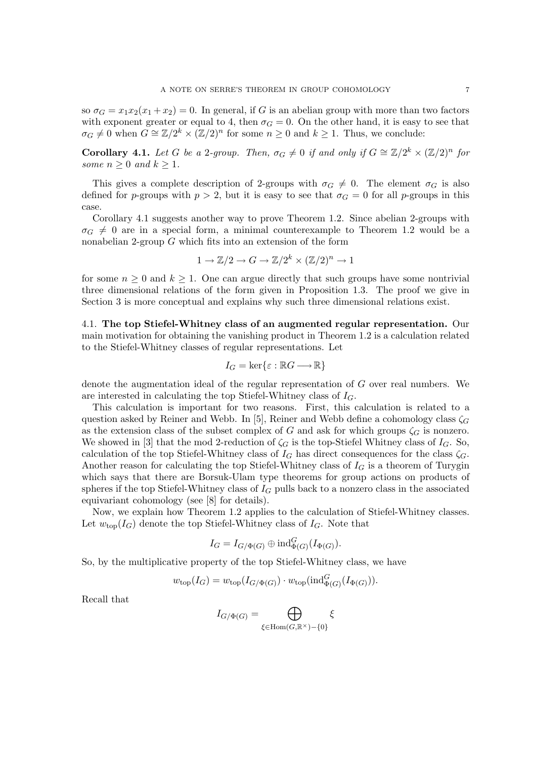so  $\sigma_G = x_1 x_2 (x_1 + x_2) = 0$ . In general, if G is an abelian group with more than two factors with exponent greater or equal to 4, then  $\sigma_G = 0$ . On the other hand, it is easy to see that  $\sigma_G \neq 0$  when  $G \cong \mathbb{Z}/2^k \times (\mathbb{Z}/2)^n$  for some  $n \geq 0$  and  $k \geq 1$ . Thus, we conclude:

**Corollary 4.1.** Let G be a 2-group. Then,  $\sigma_G \neq 0$  if and only if  $G \cong \mathbb{Z}/2^k \times (\mathbb{Z}/2)^n$  for some  $n > 0$  and  $k > 1$ .

This gives a complete description of 2-groups with  $\sigma_G \neq 0$ . The element  $\sigma_G$  is also defined for p-groups with  $p > 2$ , but it is easy to see that  $\sigma_G = 0$  for all p-groups in this case.

Corollary 4.1 suggests another way to prove Theorem 1.2. Since abelian 2-groups with  $\sigma_G \neq 0$  are in a special form, a minimal counterexample to Theorem 1.2 would be a nonabelian 2-group G which fits into an extension of the form

$$
1 \to \mathbb{Z}/2 \to G \to \mathbb{Z}/2^k \times (\mathbb{Z}/2)^n \to 1
$$

for some  $n \geq 0$  and  $k \geq 1$ . One can argue directly that such groups have some nontrivial three dimensional relations of the form given in Proposition 1.3. The proof we give in Section 3 is more conceptual and explains why such three dimensional relations exist.

4.1. The top Stiefel-Whitney class of an augmented regular representation. Our main motivation for obtaining the vanishing product in Theorem 1.2 is a calculation related to the Stiefel-Whitney classes of regular representations. Let

$$
I_G = \ker\{\varepsilon : \mathbb{R}G \longrightarrow \mathbb{R}\}
$$

denote the augmentation ideal of the regular representation of G over real numbers. We are interested in calculating the top Stiefel-Whitney class of  $I_G$ .

This calculation is important for two reasons. First, this calculation is related to a question asked by Reiner and Webb. In [5], Reiner and Webb define a cohomology class  $\zeta_G$ as the extension class of the subset complex of G and ask for which groups  $\zeta_G$  is nonzero. We showed in [3] that the mod 2-reduction of  $\zeta_G$  is the top-Stiefel Whitney class of  $I_G$ . So, calculation of the top Stiefel-Whitney class of  $I_G$  has direct consequences for the class  $\zeta_G$ . Another reason for calculating the top Stiefel-Whitney class of  $I_G$  is a theorem of Turygin which says that there are Borsuk-Ulam type theorems for group actions on products of spheres if the top Stiefel-Whitney class of  $I_G$  pulls back to a nonzero class in the associated equivariant cohomology (see [8] for details).

Now, we explain how Theorem 1.2 applies to the calculation of Stiefel-Whitney classes. Let  $w_{top}(I_G)$  denote the top Stiefel-Whitney class of  $I_G$ . Note that

$$
I_G = I_{G/\Phi(G)} \oplus \mathrm{ind}_{\Phi(G)}^G(I_{\Phi(G)})
$$
.

So, by the multiplicative property of the top Stiefel-Whitney class, we have

$$
w_{\text{top}}(I_G) = w_{\text{top}}(I_{G/\Phi(G)}) \cdot w_{\text{top}}(\text{ind}_{\Phi(G)}^G(I_{\Phi(G)})).
$$

Recall that

$$
I_{G/\Phi(G)} = \bigoplus_{\xi \in \text{Hom}(G,\mathbb{R}^{\times}) - \{0\}} \xi
$$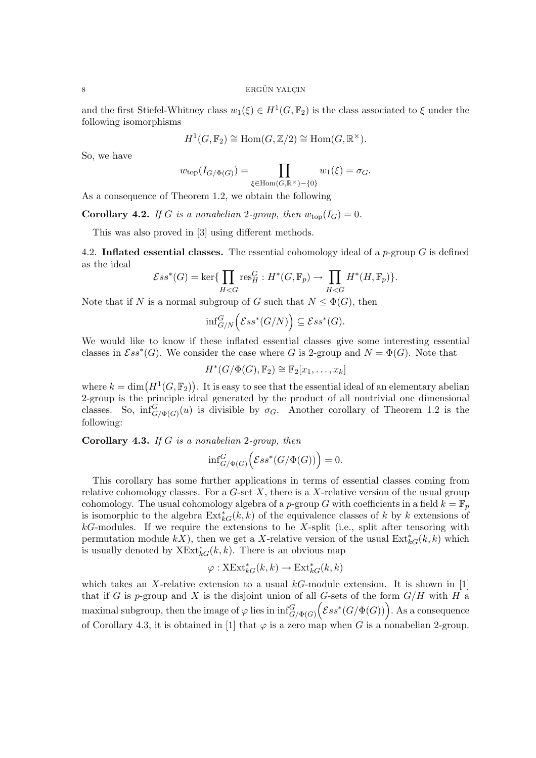#### $8$  ERGÜN YALCIN

and the first Stiefel-Whitney class  $w_1(\xi) \in H^1(G, \mathbb{F}_2)$  is the class associated to  $\xi$  under the following isomorphisms

$$
H^1(G, \mathbb{F}_2) \cong \text{Hom}(G, \mathbb{Z}/2) \cong \text{Hom}(G, \mathbb{R}^{\times}).
$$

So, we have

$$
w_{\text{top}}(I_{G/\Phi(G)}) = \prod_{\xi \in \text{Hom}(G,\mathbb{R}^{\times}) - \{0\}} w_1(\xi) = \sigma_G.
$$

As a consequence of Theorem 1.2, we obtain the following

**Corollary 4.2.** If G is a nonabelian 2-group, then  $w_{\text{top}}(I_G) = 0$ .

This was also proved in [3] using different methods.

4.2. Inflated essential classes. The essential cohomology ideal of a p-group  $G$  is defined as the ideal  $\overline{y}$  $\overline{y}$ 

$$
\mathcal{E}ss^*(G) = \ker\{\prod_{H
$$

Note that if N is a normal subgroup of G such that  $N \leq \Phi(G)$ , then

$$
\inf_{G/N}^G \Bigl(\mathcal{E}ss^*(G/N)\Bigr) \subseteq \mathcal{E}ss^*(G).
$$

We would like to know if these inflated essential classes give some interesting essential classes in  $Ess^*(G)$ . We consider the case where G is 2-group and  $N=\Phi(G)$ . Note that

 $H^*(G/\Phi(G), \mathbb{F}_2) \cong \mathbb{F}_2[x_1, \ldots, x_k]$ 

where  $k = \dim(H^1(G, \mathbb{F}_2))$ ¢ . It is easy to see that the essential ideal of an elementary abelian 2-group is the principle ideal generated by the product of all nontrivial one dimensional classes. So,  $\inf_{G/\Phi(G)}^{G}(u)$  is divisible by  $\sigma_G$ . Another corollary of Theorem 1.2 is the following:

**Corollary 4.3.** If  $G$  is a nonabelian 2-group, then

$$
\inf\nolimits_{G/\Phi(G)}^G \Bigl(\mathcal{E}ss^*(G/\Phi(G))\Bigr)=0.
$$

This corollary has some further applications in terms of essential classes coming from relative cohomology classes. For a  $G$ -set  $X$ , there is a  $X$ -relative version of the usual group cohomology. The usual cohomology algebra of a p-group G with coefficients in a field  $k = \mathbb{F}_p$ is isomorphic to the algebra  $\text{Ext}_{kG}^{*}(k, k)$  of the equivalence classes of k by k extensions of  $k$ G-modules. If we require the extensions to be X-split (i.e., split after tensoring with permutation module  $kX$ ), then we get a X-relative version of the usual  $\text{Ext}_{kG}^{*}(k, k)$  which is usually denoted by  $X \to k G(k, k)$ . There is an obvious map

$$
\varphi: \mathrm{XExt}^*_{kG}(k,k) \to \mathrm{Ext}^*_{kG}(k,k)
$$

which takes an X-relative extension to a usual  $k$ G-module extension. It is shown in [1] that if G is p-group and X is the disjoint union of all G-sets of the form  $G/H$  with H a that if G is p-group and A is the disjoint union of all G-sets of the form  $G/H$  with H a<br>maximal subgroup, then the image of  $\varphi$  lies in  $\inf_{G/\Phi(G)}^G (\mathcal{E}ss^*(G/\Phi(G)))$ . As a consequence of Corollary 4.3, it is obtained in [1] that  $\varphi$  is a zero map when G is a nonabelian 2-group.